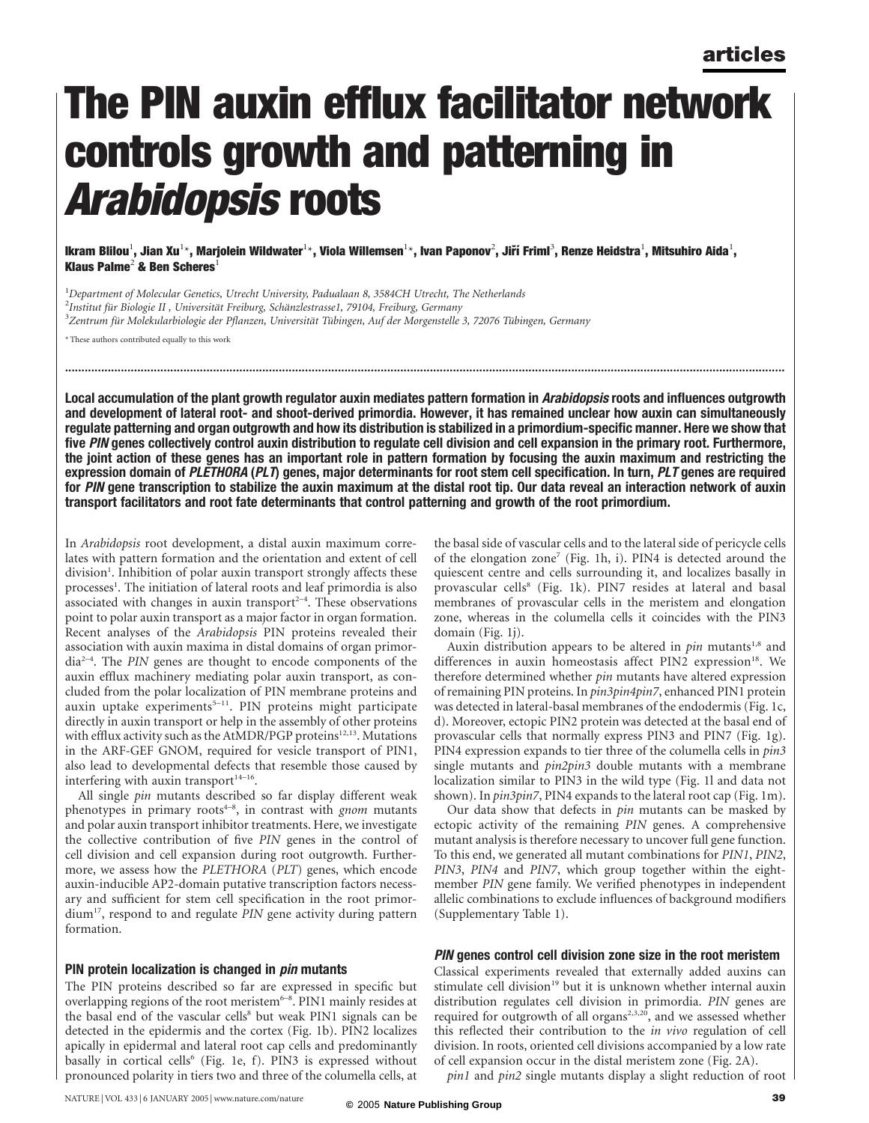# The PIN auxin efflux facilitator network controls growth and patterning in Arabidopsis roots

lkram Blilou $^1$ , Jian Xu $^{1\star}$ , Marjolein Wildwater $^{1\star}$ , Viola Willemsen $^{1\star}$ , Ivan Paponov $^2$ , Jiří Friml $^3$ , Renze Heidstra $^1$ , Mitsuhiro Aida $^1$ , Klaus Palme<sup>2</sup> & Ben Scheres<sup>1</sup>

<sup>1</sup>Department of Molecular Genetics, Utrecht University, Padualaan 8, 3584CH Utrecht, The Netherlands <sup>2</sup>Institut für Biologie II , Universität Freiburg, Schänzlestrasse1, 79104, Freiburg, Germany<br><sup>3</sup>Zentrum für Molekularbiologie der Pflanzen. Universität Tübingen, Auf der Morgenstelle <sup>3</sup>Zentrum für Molekularbiologie der Pflanzen, Universität Tübingen, Auf der Morgenstelle 3, 72076 Tübingen, Germany

\* These authors contributed equally to this work

Local accumulation of the plant growth regulator auxin mediates pattern formation in Arabidopsis roots and influences outgrowth and development of lateral root- and shoot-derived primordia. However, it has remained unclear how auxin can simultaneously regulate patterning and organ outgrowth and how its distribution is stabilized in a primordium-specific manner. Here we show that five PIN genes collectively control auxin distribution to regulate cell division and cell expansion in the primary root. Furthermore, the joint action of these genes has an important role in pattern formation by focusing the auxin maximum and restricting the expression domain of PLETHORA (PLT) genes, major determinants for root stem cell specification. In turn, PLT genes are required for PIN gene transcription to stabilize the auxin maximum at the distal root tip. Our data reveal an interaction network of auxin transport facilitators and root fate determinants that control patterning and growth of the root primordium.

...........................................................................................................................................................................................................................

In Arabidopsis root development, a distal auxin maximum correlates with pattern formation and the orientation and extent of cell division<sup>1</sup>. Inhibition of polar auxin transport strongly affects these processes<sup>1</sup>. The initiation of lateral roots and leaf primordia is also associated with changes in auxin transport $2-4$ . These observations point to polar auxin transport as a major factor in organ formation. Recent analyses of the Arabidopsis PIN proteins revealed their association with auxin maxima in distal domains of organ primordia2–4. The PIN genes are thought to encode components of the auxin efflux machinery mediating polar auxin transport, as concluded from the polar localization of PIN membrane proteins and auxin uptake experiments<sup>5-11</sup>. PIN proteins might participate directly in auxin transport or help in the assembly of other proteins with efflux activity such as the AtMDR/PGP proteins<sup>12,13</sup>. Mutations in the ARF-GEF GNOM, required for vesicle transport of PIN1, also lead to developmental defects that resemble those caused by interfering with auxin transport $14-16$ .

All single pin mutants described so far display different weak phenotypes in primary roots $4-8$ , in contrast with gnom mutants and polar auxin transport inhibitor treatments. Here, we investigate the collective contribution of five PIN genes in the control of cell division and cell expansion during root outgrowth. Furthermore, we assess how the PLETHORA (PLT) genes, which encode auxin-inducible AP2-domain putative transcription factors necessary and sufficient for stem cell specification in the root primordium<sup>17</sup>, respond to and regulate PIN gene activity during pattern formation.

## PIN protein localization is changed in *pin* mutants

The PIN proteins described so far are expressed in specific but overlapping regions of the root meristem<sup>6-8</sup>. PIN1 mainly resides at the basal end of the vascular cells<sup>8</sup> but weak PIN1 signals can be detected in the epidermis and the cortex (Fig. 1b). PIN2 localizes apically in epidermal and lateral root cap cells and predominantly basally in cortical cells<sup>6</sup> (Fig. 1e, f). PIN3 is expressed without pronounced polarity in tiers two and three of the columella cells, at

the basal side of vascular cells and to the lateral side of pericycle cells of the elongation zone<sup>7</sup> (Fig. 1h, i). PIN4 is detected around the quiescent centre and cells surrounding it, and localizes basally in provascular cells<sup>8</sup> (Fig. 1k). PIN7 resides at lateral and basal membranes of provascular cells in the meristem and elongation zone, whereas in the columella cells it coincides with the PIN3 domain (Fig. 1j).

Auxin distribution appears to be altered in  $pin$  mutants<sup>1,8</sup> and differences in auxin homeostasis affect PIN2 expression<sup>18</sup>. We therefore determined whether *pin* mutants have altered expression of remaining PIN proteins. In pin3pin4pin7, enhanced PIN1 protein was detected in lateral-basal membranes of the endodermis (Fig. 1c, d). Moreover, ectopic PIN2 protein was detected at the basal end of provascular cells that normally express PIN3 and PIN7 (Fig. 1g). PIN4 expression expands to tier three of the columella cells in pin3 single mutants and *pin2pin3* double mutants with a membrane localization similar to PIN3 in the wild type (Fig. 1l and data not shown). In *pin3pin7*, PIN4 expands to the lateral root cap (Fig. 1m).

Our data show that defects in pin mutants can be masked by ectopic activity of the remaining PIN genes. A comprehensive mutant analysis is therefore necessary to uncover full gene function. To this end, we generated all mutant combinations for PIN1, PIN2, PIN3, PIN4 and PIN7, which group together within the eightmember PIN gene family. We verified phenotypes in independent allelic combinations to exclude influences of background modifiers (Supplementary Table 1).

## PIN genes control cell division zone size in the root meristem

Classical experiments revealed that externally added auxins can stimulate cell division<sup>19</sup> but it is unknown whether internal auxin distribution regulates cell division in primordia. PIN genes are required for outgrowth of all organs<sup>2,3,20</sup>, and we assessed whether this reflected their contribution to the *in vivo* regulation of cell division. In roots, oriented cell divisions accompanied by a low rate of cell expansion occur in the distal meristem zone (Fig. 2A).

pin1 and pin2 single mutants display a slight reduction of root

NATURE | VOL 433 | 6 JANUARY 2005 | www.nature.com/nature **39 ©** 2005 **Nature Publishing Group**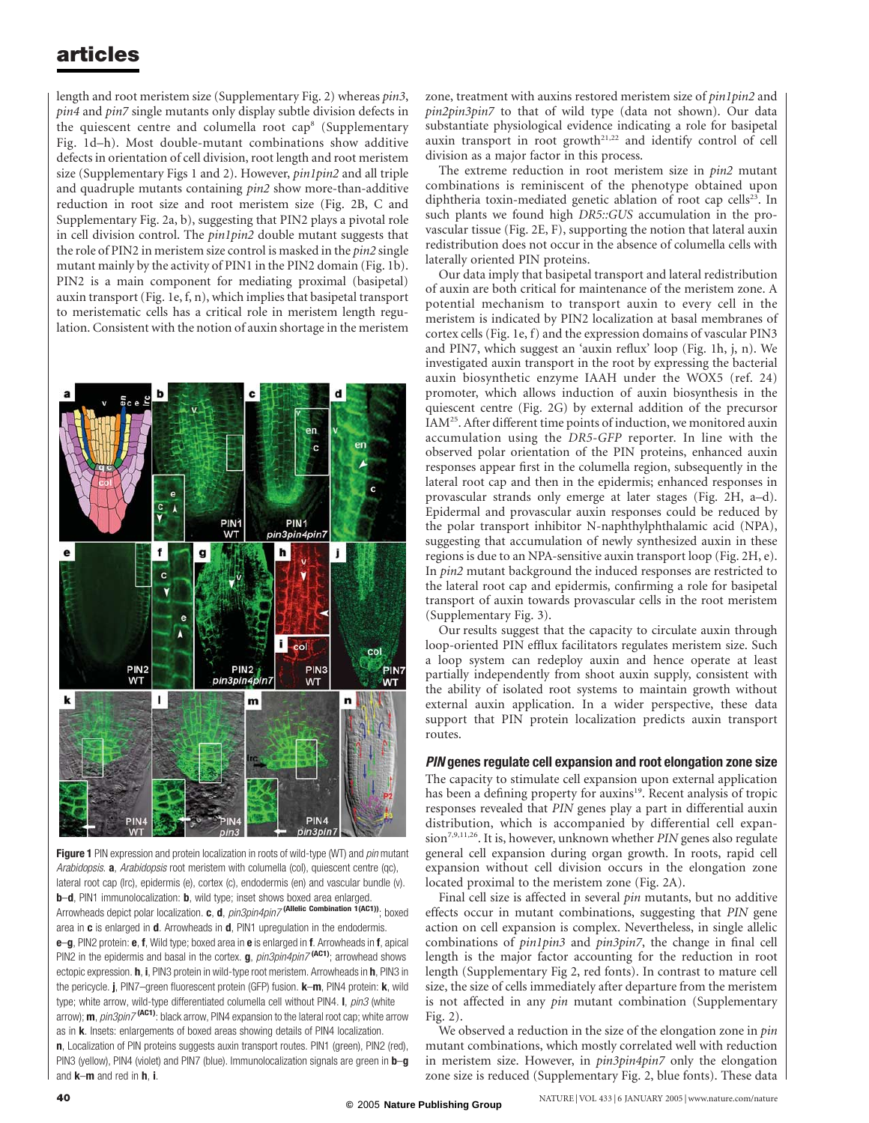length and root meristem size (Supplementary Fig. 2) whereas pin3, pin4 and pin7 single mutants only display subtle division defects in the quiescent centre and columella root cap<sup>8</sup> (Supplementary Fig. 1d–h). Most double-mutant combinations show additive defects in orientation of cell division, root length and root meristem size (Supplementary Figs 1 and 2). However, pin1pin2 and all triple and quadruple mutants containing pin2 show more-than-additive reduction in root size and root meristem size (Fig. 2B, C and Supplementary Fig. 2a, b), suggesting that PIN2 plays a pivotal role in cell division control. The pin1pin2 double mutant suggests that the role of PIN2 in meristem size control is masked in the pin2 single mutant mainly by the activity of PIN1 in the PIN2 domain (Fig. 1b). PIN2 is a main component for mediating proximal (basipetal) auxin transport (Fig. 1e, f, n), which implies that basipetal transport to meristematic cells has a critical role in meristem length regulation. Consistent with the notion of auxin shortage in the meristem



Figure 1 PIN expression and protein localization in roots of wild-type (WT) and pin mutant Arabidopsis. **a**, Arabidopsis root meristem with columella (col), quiescent centre (qc), lateral root cap (lrc), epidermis (e), cortex (c), endodermis (en) and vascular bundle (v). b-d, PIN1 immunolocalization: b, wild type; inset shows boxed area enlarged. Arrowheads depict polar localization. c, d, pin3pin4pin7<sup>(Allelic Combination 1(AC1))</sup>; boxed area in c is enlarged in d. Arrowheads in d, PIN1 upregulation in the endodermis. e-g, PIN2 protein: e, f, Wild type; boxed area in e is enlarged in f. Arrowheads in f, apical PIN2 in the epidermis and basal in the cortex.  $g$ ,  $pin3pin4pin7$ <sup>(AC1)</sup>; arrowhead shows ectopic expression. **h**, **i**, PIN3 protein in wild-type root meristem. Arrowheads in **h**, PIN3 in the pericycle. j, PIN7–green fluorescent protein (GFP) fusion. **k–m**, PIN4 protein: **k**, wild type; white arrow, wild-type differentiated columella cell without PIN4. I, pin3 (white arrow);  $m$ ,  $pin3pin7$ <sup>(AC1)</sup>: black arrow, PIN4 expansion to the lateral root cap; white arrow as in k. Insets: enlargements of boxed areas showing details of PIN4 localization. n, Localization of PIN proteins suggests auxin transport routes. PIN1 (green), PIN2 (red), PIN3 (yellow), PIN4 (violet) and PIN7 (blue). Immunolocalization signals are green in **b-g** and  $k-m$  and red in  $h$ , i.

zone, treatment with auxins restored meristem size of pin1pin2 and pin2pin3pin7 to that of wild type (data not shown). Our data substantiate physiological evidence indicating a role for basipetal auxin transport in root growth<sup>21,22</sup> and identify control of cell division as a major factor in this process.

The extreme reduction in root meristem size in pin2 mutant combinations is reminiscent of the phenotype obtained upon diphtheria toxin-mediated genetic ablation of root cap cells<sup>23</sup>. In such plants we found high DR5::GUS accumulation in the provascular tissue (Fig. 2E, F), supporting the notion that lateral auxin redistribution does not occur in the absence of columella cells with laterally oriented PIN proteins.

Our data imply that basipetal transport and lateral redistribution of auxin are both critical for maintenance of the meristem zone. A potential mechanism to transport auxin to every cell in the meristem is indicated by PIN2 localization at basal membranes of cortex cells (Fig. 1e, f) and the expression domains of vascular PIN3 and PIN7, which suggest an 'auxin reflux' loop (Fig. 1h, j, n). We investigated auxin transport in the root by expressing the bacterial auxin biosynthetic enzyme IAAH under the WOX5 (ref. 24) promoter, which allows induction of auxin biosynthesis in the quiescent centre (Fig. 2G) by external addition of the precursor IAM<sup>25</sup>. After different time points of induction, we monitored auxin accumulation using the DR5-GFP reporter. In line with the observed polar orientation of the PIN proteins, enhanced auxin responses appear first in the columella region, subsequently in the lateral root cap and then in the epidermis; enhanced responses in provascular strands only emerge at later stages (Fig. 2H, a–d). Epidermal and provascular auxin responses could be reduced by the polar transport inhibitor N-naphthylphthalamic acid (NPA), suggesting that accumulation of newly synthesized auxin in these regions is due to an NPA-sensitive auxin transport loop (Fig. 2H, e). In pin2 mutant background the induced responses are restricted to the lateral root cap and epidermis, confirming a role for basipetal transport of auxin towards provascular cells in the root meristem (Supplementary Fig. 3).

Our results suggest that the capacity to circulate auxin through loop-oriented PIN efflux facilitators regulates meristem size. Such a loop system can redeploy auxin and hence operate at least partially independently from shoot auxin supply, consistent with the ability of isolated root systems to maintain growth without external auxin application. In a wider perspective, these data support that PIN protein localization predicts auxin transport routes.

### PIN genes regulate cell expansion and root elongation zone size

The capacity to stimulate cell expansion upon external application has been a defining property for auxins<sup>19</sup>. Recent analysis of tropic responses revealed that PIN genes play a part in differential auxin distribution, which is accompanied by differential cell expan $sion^{7,9,11,26}$ . It is, however, unknown whether PIN genes also regulate general cell expansion during organ growth. In roots, rapid cell expansion without cell division occurs in the elongation zone located proximal to the meristem zone (Fig. 2A).

Final cell size is affected in several pin mutants, but no additive effects occur in mutant combinations, suggesting that PIN gene action on cell expansion is complex. Nevertheless, in single allelic combinations of pin1pin3 and pin3pin7, the change in final cell length is the major factor accounting for the reduction in root length (Supplementary Fig 2, red fonts). In contrast to mature cell size, the size of cells immediately after departure from the meristem is not affected in any *pin* mutant combination (Supplementary Fig. 2).

We observed a reduction in the size of the elongation zone in pin mutant combinations, which mostly correlated well with reduction in meristem size. However, in *pin3pin4pin7* only the elongation zone size is reduced (Supplementary Fig. 2, blue fonts). These data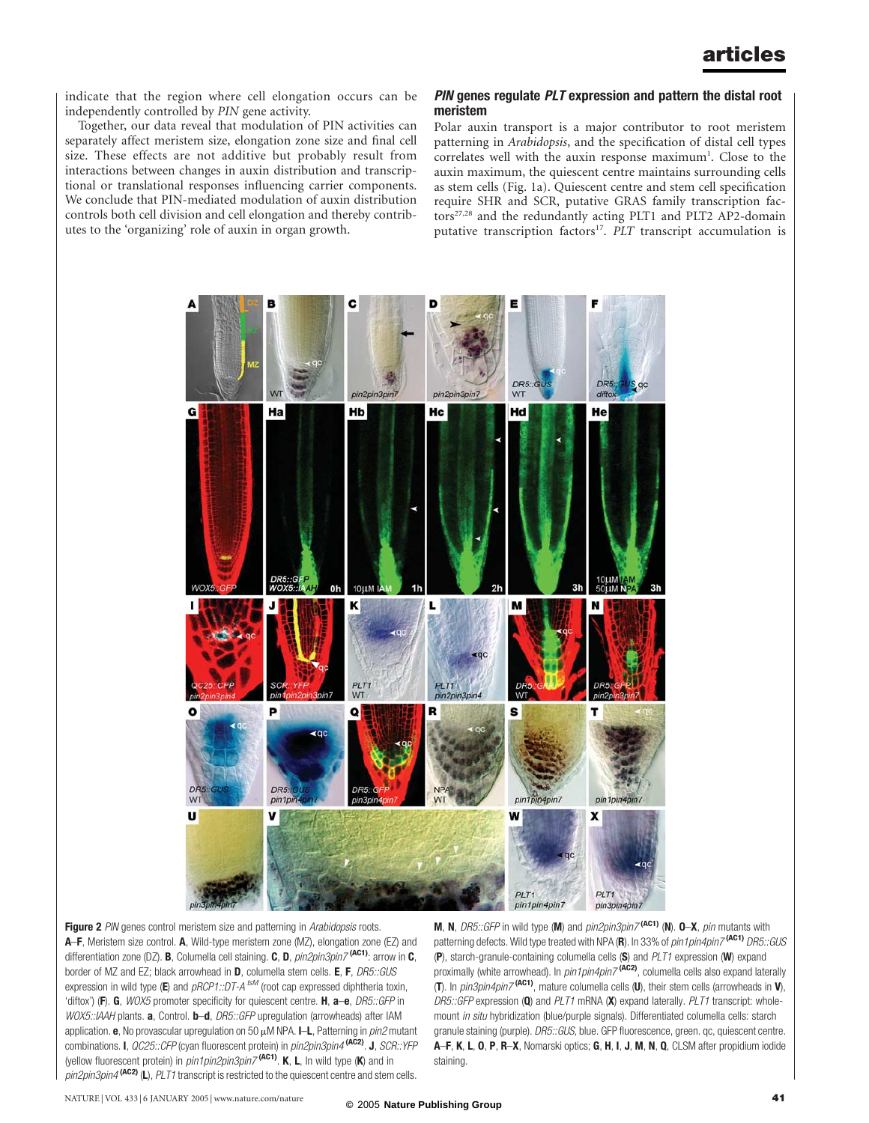indicate that the region where cell elongation occurs can be independently controlled by PIN gene activity.

Together, our data reveal that modulation of PIN activities can separately affect meristem size, elongation zone size and final cell size. These effects are not additive but probably result from interactions between changes in auxin distribution and transcriptional or translational responses influencing carrier components. We conclude that PIN-mediated modulation of auxin distribution controls both cell division and cell elongation and thereby contributes to the 'organizing' role of auxin in organ growth.

#### PIN genes regulate PLT expression and pattern the distal root meristem

Polar auxin transport is a major contributor to root meristem patterning in Arabidopsis, and the specification of distal cell types correlates well with the auxin response maximum<sup>1</sup>. Close to the auxin maximum, the quiescent centre maintains surrounding cells as stem cells (Fig. 1a). Quiescent centre and stem cell specification require SHR and SCR, putative GRAS family transcription factors<sup>27,28</sup> and the redundantly acting PLT1 and PLT2 AP2-domain putative transcription factors<sup>17</sup>. PLT transcript accumulation is



Figure 2 PIN genes control meristem size and patterning in Arabidopsis roots. A–F, Meristem size control. A, Wild-type meristem zone (MZ), elongation zone (EZ) and differentiation zone (DZ). **B**, Columella cell staining. **C**, **D**,  $pin2pin3pin7$ <sup>(AC1)</sup>: arrow in **C**, border of MZ and EZ; black arrowhead in **D**, columella stem cells. **E**, **F**, *DR5::GUS* expression in wild type (E) and  $pRCP1::DT-A$   $^{tsM}$  (root cap expressed diphtheria toxin, 'diftox') (F). G, WOX5 promoter specificity for quiescent centre. H, a-e, DR5::GFP in WOX5::IAAH plants. **a**, Control. **b–d**, *DR5::GFP* upregulation (arrowheads) after IAM application. e, No provascular upregulation on 50  $\mu$ M NPA. I–L, Patterning in  $pin2$  mutant combinations. I, QC25::CFP (cyan fluorescent protein) in pin2pin3pin4 (AC2). J, SCR::YFP (yellow fluorescent protein) in  $pin1pin2pin3pin7$  (AC1). K, L, In wild type (K) and in  $pin2pin3pin4$  (AC2) (L), PLT1 transcript is restricted to the quiescent centre and stem cells.

M, N, DR5::GFP in wild type (M) and  $pin2pin3pin7$ <sup>(AC1)</sup> (N). O-X, pin mutants with patterning defects. Wild type treated with NPA (R). In 33% of  $pin1pin4pin7$ <sup>(AC1)</sup> DR5::GUS (P), starch-granule-containing columella cells (S) and PLT1 expression (W) expand proximally (white arrowhead). In pin1pin4pin7 (AC2), columella cells also expand laterally (T). In  $pin3pin4pin7$ <sup>(AC1)</sup>, mature columella cells (U), their stem cells (arrowheads in V), DR5:: GFP expression (Q) and  $PLT1$  mRNA (X) expand laterally.  $PLT1$  transcript: wholemount *in situ* hybridization (blue/purple signals). Differentiated columella cells: starch granule staining (purple). DR5::GUS, blue. GFP fluorescence, green. qc, quiescent centre. A–F, K, L, O, P, R–X, Nomarski optics; G, H, I, J, M, N, Q, CLSM after propidium iodide staining.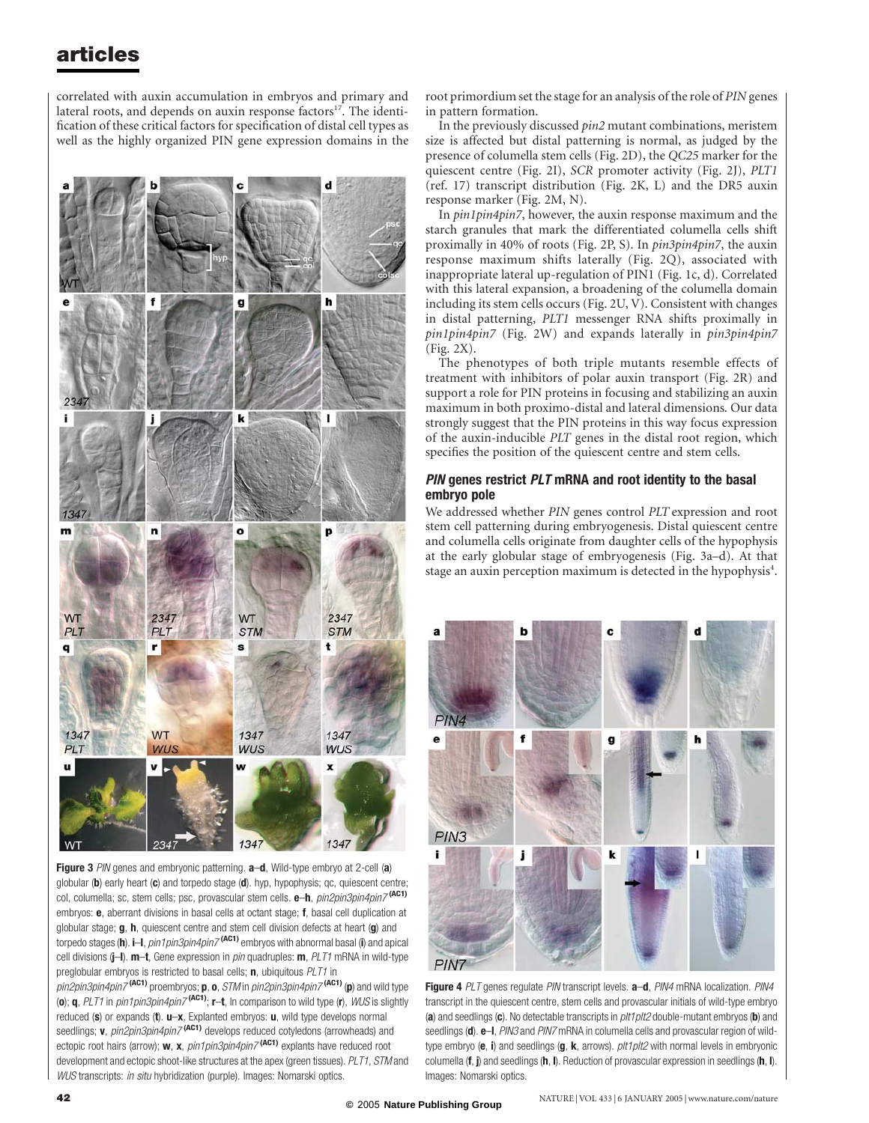correlated with auxin accumulation in embryos and primary and lateral roots, and depends on auxin response factors $17$ . The identification of these critical factors for specification of distal cell types as well as the highly organized PIN gene expression domains in the



Figure 3 PIN genes and embryonic patterning.  $a-d$ , Wild-type embryo at 2-cell (a) globular (b) early heart (c) and torpedo stage (d). hyp, hypophysis; qc, quiescent centre; col, columella; sc, stem cells; psc, provascular stem cells. e-h, pin2pin3pin4pin7<sup>(AC1)</sup> embryos:  $e$ , aberrant divisions in basal cells at octant stage; f, basal cell duplication at globular stage; g, h, quiescent centre and stem cell division defects at heart (g) and torpedo stages (h). i–I, pin1pin3pin4pin7<sup>(AC1)</sup> embryos with abnormal basal (i) and apical cell divisions (j-I). m-t, Gene expression in pin quadruples: m, PLT1 mRNA in wild-type preglobular embryos is restricted to basal cells; **n**, ubiquitous PLT1 in

 $p$ in2pin3pin4pin7<sup>(AC1)</sup> proembryos; p, o, STM in pin2pin3pin4pin7<sup>(AC1)</sup> (p) and wild type (o); q, PLT1 in pin1pin3pin4pin7 (AC1); r–t, In comparison to wild type (r), WUS is slightly reduced (s) or expands (t).  $u-x$ , Explanted embryos:  $u$ , wild type develops normal seedlings; v, pin2pin3pin4pin7<sup>(AC1)</sup> develops reduced cotyledons (arrowheads) and ectopic root hairs (arrow);  $w$ ,  $x$ ,  $pin1pin3pin4pin7$ <sup>(AC1)</sup> explants have reduced root development and ectopic shoot-like structures at the apex (green tissues). PLT1, STM and WUS transcripts: in situ hybridization (purple). Images: Nomarski optics.

root primordium set the stage for an analysis of the role of PIN genes in pattern formation.

In the previously discussed pin2 mutant combinations, meristem size is affected but distal patterning is normal, as judged by the presence of columella stem cells (Fig. 2D), the QC25 marker for the quiescent centre (Fig. 2I), SCR promoter activity (Fig. 2J), PLT1 (ref. 17) transcript distribution (Fig. 2K, L) and the DR5 auxin response marker (Fig. 2M, N).

In pin1pin4pin7, however, the auxin response maximum and the starch granules that mark the differentiated columella cells shift proximally in 40% of roots (Fig. 2P, S). In pin3pin4pin7, the auxin response maximum shifts laterally (Fig. 2Q), associated with inappropriate lateral up-regulation of PIN1 (Fig. 1c, d). Correlated with this lateral expansion, a broadening of the columella domain including its stem cells occurs (Fig. 2U, V). Consistent with changes in distal patterning, PLT1 messenger RNA shifts proximally in pin1pin4pin7 (Fig. 2W) and expands laterally in pin3pin4pin7 (Fig. 2X).

The phenotypes of both triple mutants resemble effects of treatment with inhibitors of polar auxin transport (Fig. 2R) and support a role for PIN proteins in focusing and stabilizing an auxin maximum in both proximo-distal and lateral dimensions. Our data strongly suggest that the PIN proteins in this way focus expression of the auxin-inducible PLT genes in the distal root region, which specifies the position of the quiescent centre and stem cells.

## PIN genes restrict PLT mRNA and root identity to the basal embryo pole

We addressed whether PIN genes control PLT expression and root stem cell patterning during embryogenesis. Distal quiescent centre and columella cells originate from daughter cells of the hypophysis at the early globular stage of embryogenesis (Fig. 3a–d). At that stage an auxin perception maximum is detected in the hypophysis<sup>4</sup>.



Figure 4 PLT genes regulate PIN transcript levels. a-d, PIN4 mRNA localization. PIN4 transcript in the quiescent centre, stem cells and provascular initials of wild-type embryo (a) and seedlings (c). No detectable transcripts in  $plt1plt2$  double-mutant embryos (b) and seedlings (d). e-I, PIN3 and PIN7 mRNA in columella cells and provascular region of wildtype embryo (e, i) and seedlings (g, k, arrows).  $plt1plt2$  with normal levels in embryonic columella ( $f$ ,  $j$ ) and seedlings ( $h$ ,  $I$ ). Reduction of provascular expression in seedlings ( $h$ ,  $I$ ). Images: Nomarski optics.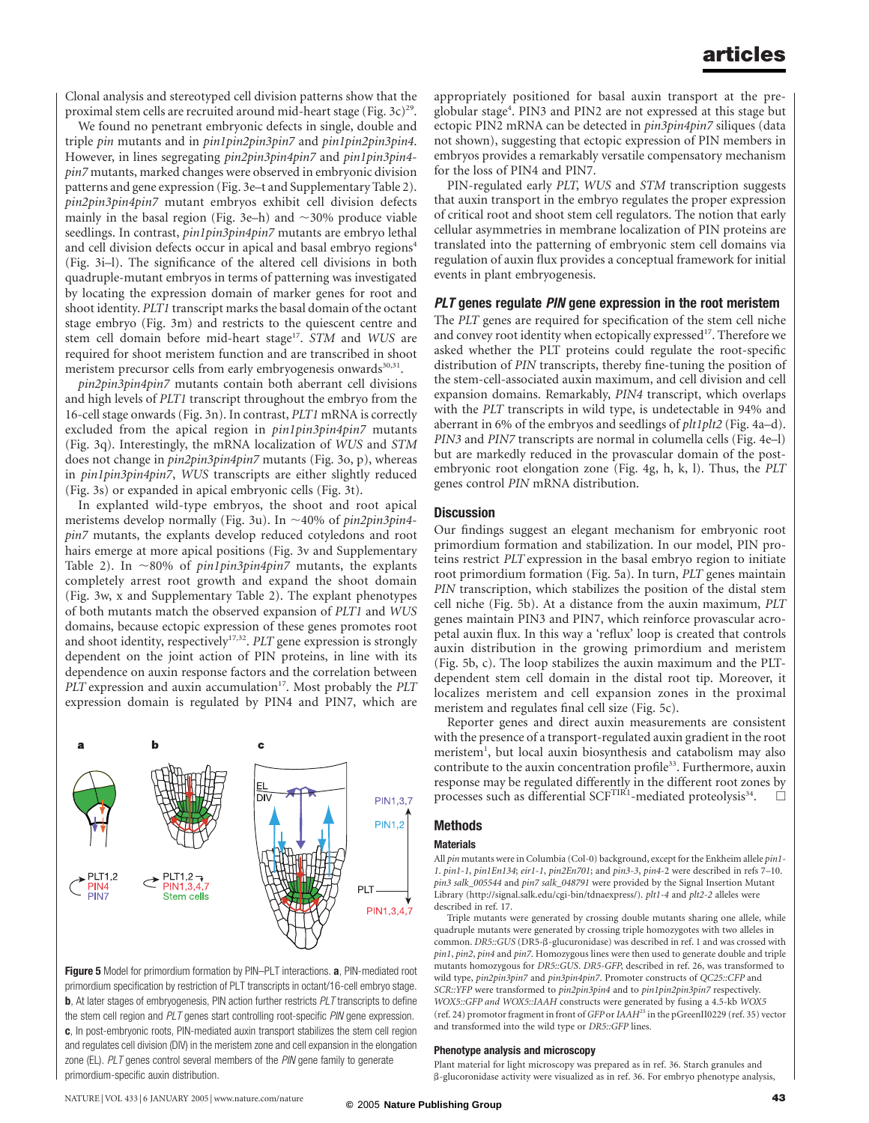Clonal analysis and stereotyped cell division patterns show that the proximal stem cells are recruited around mid-heart stage (Fig. 3c)<sup>29</sup>.

We found no penetrant embryonic defects in single, double and triple pin mutants and in pin1pin2pin3pin7 and pin1pin2pin3pin4. However, in lines segregating pin2pin3pin4pin7 and pin1pin3pin4pin7 mutants, marked changes were observed in embryonic division patterns and gene expression (Fig. 3e–t and Supplementary Table 2). pin2pin3pin4pin7 mutant embryos exhibit cell division defects mainly in the basal region (Fig. 3e–h) and  $\sim$ 30% produce viable seedlings. In contrast, pin1pin3pin4pin7 mutants are embryo lethal and cell division defects occur in apical and basal embryo regions<sup>4</sup> (Fig. 3i–l). The significance of the altered cell divisions in both quadruple-mutant embryos in terms of patterning was investigated by locating the expression domain of marker genes for root and shoot identity. PLT1 transcript marks the basal domain of the octant stage embryo (Fig. 3m) and restricts to the quiescent centre and stem cell domain before mid-heart stage<sup>17</sup>. STM and WUS are required for shoot meristem function and are transcribed in shoot meristem precursor cells from early embryogenesis onwards<sup>30,31</sup>.

pin2pin3pin4pin7 mutants contain both aberrant cell divisions and high levels of PLT1 transcript throughout the embryo from the 16-cell stage onwards (Fig. 3n). In contrast, PLT1 mRNA is correctly excluded from the apical region in pin1pin3pin4pin7 mutants (Fig. 3q). Interestingly, the mRNA localization of WUS and STM does not change in pin2pin3pin4pin7 mutants (Fig. 3o, p), whereas in pin1pin3pin4pin7, WUS transcripts are either slightly reduced (Fig. 3s) or expanded in apical embryonic cells (Fig. 3t).

In explanted wild-type embryos, the shoot and root apical meristems develop normally (Fig. 3u). In  $\sim$  40% of pin2pin3pin4pin7 mutants, the explants develop reduced cotyledons and root hairs emerge at more apical positions (Fig. 3v and Supplementary Table 2). In  $\sim$ 80% of pin1pin3pin4pin7 mutants, the explants completely arrest root growth and expand the shoot domain (Fig. 3w, x and Supplementary Table 2). The explant phenotypes of both mutants match the observed expansion of PLT1 and WUS domains, because ectopic expression of these genes promotes root and shoot identity, respectively<sup>17,32</sup>. PLT gene expression is strongly dependent on the joint action of PIN proteins, in line with its dependence on auxin response factors and the correlation between  $PLT$  expression and auxin accumulation<sup>17</sup>. Most probably the  $PLT$ expression domain is regulated by PIN4 and PIN7, which are



Figure 5 Model for primordium formation by PIN-PLT interactions. a, PIN-mediated root primordium specification by restriction of PLT transcripts in octant/16-cell embryo stage. **b**, At later stages of embryogenesis, PIN action further restricts PLT transcripts to define the stem cell region and PLT genes start controlling root-specific PIN gene expression. c, In post-embryonic roots, PIN-mediated auxin transport stabilizes the stem cell region and regulates cell division (DIV) in the meristem zone and cell expansion in the elongation zone (EL). PLT genes control several members of the PIN gene family to generate primordium-specific auxin distribution.

appropriately positioned for basal auxin transport at the preglobular stage<sup>4</sup>. PIN3 and PIN2 are not expressed at this stage but ectopic PIN2 mRNA can be detected in pin3pin4pin7 siliques (data not shown), suggesting that ectopic expression of PIN members in embryos provides a remarkably versatile compensatory mechanism for the loss of PIN4 and PIN7.

PIN-regulated early PLT, WUS and STM transcription suggests that auxin transport in the embryo regulates the proper expression of critical root and shoot stem cell regulators. The notion that early cellular asymmetries in membrane localization of PIN proteins are translated into the patterning of embryonic stem cell domains via regulation of auxin flux provides a conceptual framework for initial events in plant embryogenesis.

#### PLT genes regulate PIN gene expression in the root meristem

The PLT genes are required for specification of the stem cell niche and convey root identity when ectopically expressed<sup>17</sup>. Therefore we asked whether the PLT proteins could regulate the root-specific distribution of PIN transcripts, thereby fine-tuning the position of the stem-cell-associated auxin maximum, and cell division and cell expansion domains. Remarkably, PIN4 transcript, which overlaps with the PLT transcripts in wild type, is undetectable in 94% and aberrant in 6% of the embryos and seedlings of plt1plt2 (Fig. 4a–d). PIN3 and PIN7 transcripts are normal in columella cells (Fig. 4e–l) but are markedly reduced in the provascular domain of the postembryonic root elongation zone (Fig. 4g, h, k, l). Thus, the PLT genes control PIN mRNA distribution.

#### **Discussion**

Our findings suggest an elegant mechanism for embryonic root primordium formation and stabilization. In our model, PIN proteins restrict PLT expression in the basal embryo region to initiate root primordium formation (Fig. 5a). In turn, PLT genes maintain PIN transcription, which stabilizes the position of the distal stem cell niche (Fig. 5b). At a distance from the auxin maximum, PLT genes maintain PIN3 and PIN7, which reinforce provascular acropetal auxin flux. In this way a 'reflux' loop is created that controls auxin distribution in the growing primordium and meristem (Fig. 5b, c). The loop stabilizes the auxin maximum and the PLTdependent stem cell domain in the distal root tip. Moreover, it localizes meristem and cell expansion zones in the proximal meristem and regulates final cell size (Fig. 5c).

Reporter genes and direct auxin measurements are consistent with the presence of a transport-regulated auxin gradient in the root meristem<sup>1</sup>, but local auxin biosynthesis and catabolism may also contribute to the auxin concentration profile<sup>33</sup>. Furthermore, auxin response may be regulated differently in the different root zones by processes such as differential SCF<sup>TIR1</sup>-mediated proteolysis<sup>34</sup>.

#### **Methods**

#### **Materials**

All pin mutants were in Columbia (Col-0) background, except for the Enkheim allele pin1-1. pin1-1, pin1En134; eir1-1, pin2En701; and pin3-3, pin4-2 were described in refs 7–10. pin3 salk\_005544 and pin7 salk\_048791 were provided by the Signal Insertion Mutant Library (http://signal.salk.edu/cgi-bin/tdnaexpress/). plt1-4 and plt2-2 alleles were described in ref. 17.

Triple mutants were generated by crossing double mutants sharing one allele, while quadruple mutants were generated by crossing triple homozygotes with two alleles in common. DR5::GUS (DR5- $\beta$ -glucuronidase) was described in ref. 1 and was crossed with pin1, pin2, pin4 and pin7. Homozygous lines were then used to generate double and triple mutants homozygous for DR5::GUS. DR5-GFP, described in ref. 26, was transformed to wild type, pin2pin3pin7 and pin3pin4pin7. Promoter constructs of QC25::CFP and SCR::YFP were transformed to pin2pin3pin4 and to pin1pin2pin3pin7 respectively. WOX5::GFP and WOX5::IAAH constructs were generated by fusing a 4.5-kb WOX5 (ref. 24) promotor fragment in front of GFP or IAAH<sup>25</sup> in the pGreenII0229 (ref. 35) vector and transformed into the wild type or DR5::GFP lines.

#### Phenotype analysis and microscopy

Plant material for light microscopy was prepared as in ref. 36. Starch granules and  $\beta$ -glucoronidase activity were visualized as in ref. 36. For embryo phenotype analysis,